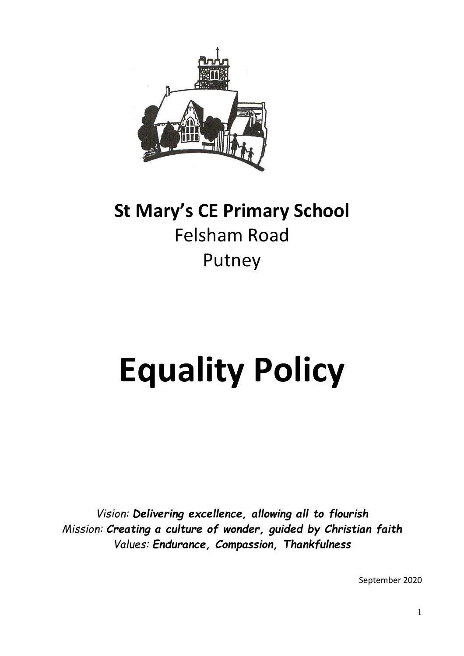

# **St Mary's CE Primary School** Felsham Road Putney

# **Equality Policy**

*Vision: Delivering excellence, allowing all to flourish Mission: Creating a culture of wonder, guided by Christian faith Values: Endurance, Compassion, Thankfulness*

September 2020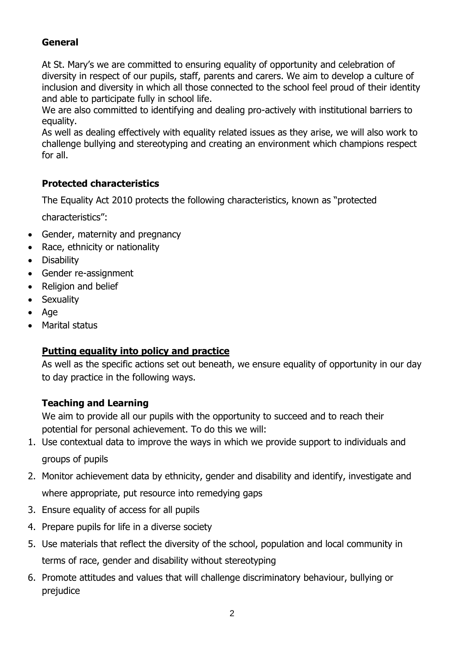# **General**

At St. Mary's we are committed to ensuring equality of opportunity and celebration of diversity in respect of our pupils, staff, parents and carers. We aim to develop a culture of inclusion and diversity in which all those connected to the school feel proud of their identity and able to participate fully in school life.

We are also committed to identifying and dealing pro-actively with institutional barriers to equality.

As well as dealing effectively with equality related issues as they arise, we will also work to challenge bullying and stereotyping and creating an environment which champions respect for all.

#### **Protected characteristics**

The Equality Act 2010 protects the following characteristics, known as "protected

characteristics":

- Gender, maternity and pregnancy
- Race, ethnicity or nationality
- **Disability**
- Gender re-assignment
- Religion and belief
- **Sexuality**
- Age
- Marital status

#### **Putting equality into policy and practice**

As well as the specific actions set out beneath, we ensure equality of opportunity in our day to day practice in the following ways.

#### **Teaching and Learning**

We aim to provide all our pupils with the opportunity to succeed and to reach their potential for personal achievement. To do this we will:

- 1. Use contextual data to improve the ways in which we provide support to individuals and groups of pupils
- 2. Monitor achievement data by ethnicity, gender and disability and identify, investigate and where appropriate, put resource into remedying gaps
- 3. Ensure equality of access for all pupils
- 4. Prepare pupils for life in a diverse society
- 5. Use materials that reflect the diversity of the school, population and local community in terms of race, gender and disability without stereotyping
- 6. Promote attitudes and values that will challenge discriminatory behaviour, bullying or prejudice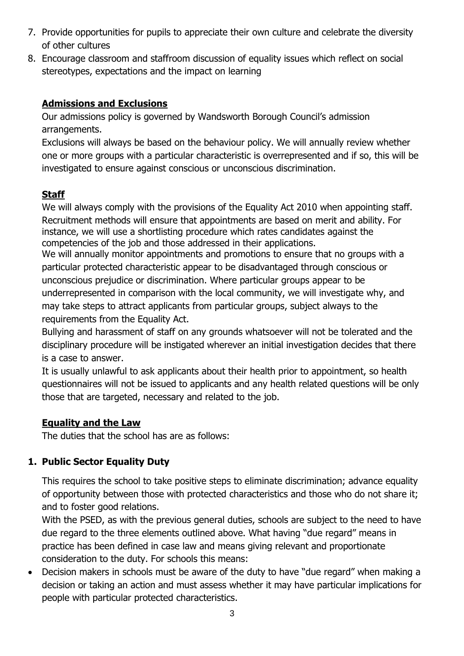- 7. Provide opportunities for pupils to appreciate their own culture and celebrate the diversity of other cultures
- 8. Encourage classroom and staffroom discussion of equality issues which reflect on social stereotypes, expectations and the impact on learning

# **Admissions and Exclusions**

Our admissions policy is governed by Wandsworth Borough Council's admission arrangements.

Exclusions will always be based on the behaviour policy. We will annually review whether one or more groups with a particular characteristic is overrepresented and if so, this will be investigated to ensure against conscious or unconscious discrimination.

# **Staff**

We will always comply with the provisions of the Equality Act 2010 when appointing staff. Recruitment methods will ensure that appointments are based on merit and ability. For instance, we will use a shortlisting procedure which rates candidates against the competencies of the job and those addressed in their applications.

We will annually monitor appointments and promotions to ensure that no groups with a particular protected characteristic appear to be disadvantaged through conscious or unconscious prejudice or discrimination. Where particular groups appear to be underrepresented in comparison with the local community, we will investigate why, and may take steps to attract applicants from particular groups, subject always to the requirements from the Equality Act.

Bullying and harassment of staff on any grounds whatsoever will not be tolerated and the disciplinary procedure will be instigated wherever an initial investigation decides that there is a case to answer.

It is usually unlawful to ask applicants about their health prior to appointment, so health questionnaires will not be issued to applicants and any health related questions will be only those that are targeted, necessary and related to the job.

# **Equality and the Law**

The duties that the school has are as follows:

# **1. Public Sector Equality Duty**

This requires the school to take positive steps to eliminate discrimination; advance equality of opportunity between those with protected characteristics and those who do not share it; and to foster good relations.

With the PSED, as with the previous general duties, schools are subject to the need to have due regard to the three elements outlined above. What having "due regard" means in practice has been defined in case law and means giving relevant and proportionate consideration to the duty. For schools this means:

• Decision makers in schools must be aware of the duty to have "due regard" when making a decision or taking an action and must assess whether it may have particular implications for people with particular protected characteristics.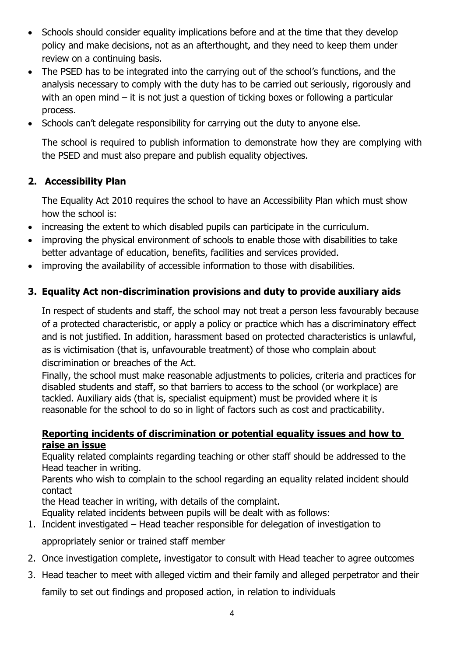- Schools should consider equality implications before and at the time that they develop policy and make decisions, not as an afterthought, and they need to keep them under review on a continuing basis.
- The PSED has to be integrated into the carrying out of the school's functions, and the analysis necessary to comply with the duty has to be carried out seriously, rigorously and with an open mind – it is not just a question of ticking boxes or following a particular process.
- Schools can't delegate responsibility for carrying out the duty to anyone else.

The school is required to publish information to demonstrate how they are complying with the PSED and must also prepare and publish equality objectives.

# **2. Accessibility Plan**

The Equality Act 2010 requires the school to have an Accessibility Plan which must show how the school is:

- increasing the extent to which disabled pupils can participate in the curriculum.
- improving the physical environment of schools to enable those with disabilities to take better advantage of education, benefits, facilities and services provided.
- improving the availability of accessible information to those with disabilities.

# **3. Equality Act non-discrimination provisions and duty to provide auxiliary aids**

In respect of students and staff, the school may not treat a person less favourably because of a protected characteristic, or apply a policy or practice which has a discriminatory effect and is not justified. In addition, harassment based on protected characteristics is unlawful, as is victimisation (that is, unfavourable treatment) of those who complain about discrimination or breaches of the Act.

Finally, the school must make reasonable adjustments to policies, criteria and practices for disabled students and staff, so that barriers to access to the school (or workplace) are tackled. Auxiliary aids (that is, specialist equipment) must be provided where it is reasonable for the school to do so in light of factors such as cost and practicability.

#### **Reporting incidents of discrimination or potential equality issues and how to raise an issue**

Equality related complaints regarding teaching or other staff should be addressed to the Head teacher in writing.

Parents who wish to complain to the school regarding an equality related incident should contact

the Head teacher in writing, with details of the complaint.

Equality related incidents between pupils will be dealt with as follows:

1. Incident investigated – Head teacher responsible for delegation of investigation to

appropriately senior or trained staff member

- 2. Once investigation complete, investigator to consult with Head teacher to agree outcomes
- 3. Head teacher to meet with alleged victim and their family and alleged perpetrator and their

family to set out findings and proposed action, in relation to individuals